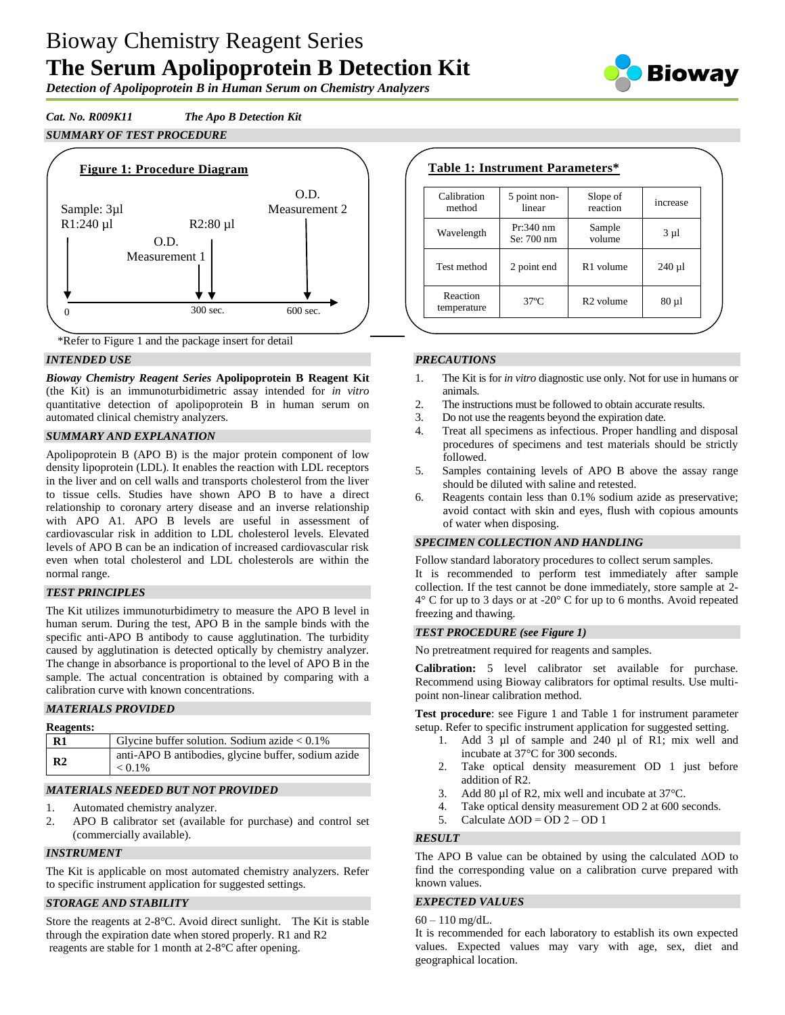# Bioway Chemistry Reagent Series **The Serum Apolipoprotein B Detection Kit**



*Detection of Apolipoprotein B in Human Serum on Chemistry Analyzers*

*Cat. No. R009K11 The Apo B Detection Kit SUMMARY OF TEST PROCEDURE*





#### *INTENDED USE*

*Bioway Chemistry Reagent Series* **Apolipoprotein B Reagent Kit**  (the Kit) is an immunoturbidimetric assay intended for *in vitro* quantitative detection of apolipoprotein B in human serum on automated clinical chemistry analyzers.

#### *SUMMARY AND EXPLANATION*

Apolipoprotein B (APO B) is the major protein component of low density lipoprotein (LDL). It enables the reaction with LDL receptors in the liver and on cell walls and transports cholesterol from the liver to tissue cells. Studies have shown APO B to have a direct relationship to coronary artery disease and an inverse relationship with APO A1. APO B levels are useful in assessment of cardiovascular risk in addition to LDL cholesterol levels. Elevated levels of APO B can be an indication of increased cardiovascular risk even when total cholesterol and LDL cholesterols are within the normal range.

#### *TEST PRINCIPLES*

The Kit utilizes immunoturbidimetry to measure the APO B level in human serum. During the test, APO B in the sample binds with the specific anti-APO B antibody to cause agglutination. The turbidity caused by agglutination is detected optically by chemistry analyzer. The change in absorbance is proportional to the level of APO B in the sample. The actual concentration is obtained by comparing with a calibration curve with known concentrations.

#### *MATERIALS PROVIDED*

| <b>Reagents:</b> |                                                                  |
|------------------|------------------------------------------------------------------|
| $\mathbf{R}1$    | Glycine buffer solution. Sodium azide $< 0.1\%$                  |
| R <sub>2</sub>   | anti-APO B antibodies, glycine buffer, sodium azide<br>$< 0.1\%$ |

### *MATERIALS NEEDED BUT NOT PROVIDED*

- 1. Automated chemistry analyzer.
- 2. APO B calibrator set (available for purchase) and control set (commercially available).

#### *INSTRUMENT*

The Kit is applicable on most automated chemistry analyzers. Refer to specific instrument application for suggested settings.

### *STORAGE AND STABILITY*

Store the reagents at 2-8°C. Avoid direct sunlight. The Kit is stable through the expiration date when stored properly. R1 and R2 reagents are stable for 1 month at 2-8°C after opening.

| Calibration<br>method   | 5 point non-<br>linear    | Slope of<br>reaction  | increase   |
|-------------------------|---------------------------|-----------------------|------------|
| Wavelength              | $Pr:340$ nm<br>Se: 700 nm | Sample<br>volume      | $3 \mu l$  |
| Test method             | 2 point end               | R <sub>1</sub> volume | $240 \mu$  |
| Reaction<br>temperature | $37^{\circ}$ C            | R <sub>2</sub> volume | $80 \mu 1$ |

#### *PRECAUTIONS*

- 1. The Kit is for *in vitro* diagnostic use only. Not for use in humans or animals.
- 2. The instructions must be followed to obtain accurate results.
- 3. Do not use the reagents beyond the expiration date.
- 4. Treat all specimens as infectious. Proper handling and disposal procedures of specimens and test materials should be strictly followed.
- 5. Samples containing levels of APO B above the assay range should be diluted with saline and retested.
- 6. Reagents contain less than 0.1% sodium azide as preservative; avoid contact with skin and eyes, flush with copious amounts of water when disposing.

#### *SPECIMEN COLLECTION AND HANDLING*

Follow standard laboratory procedures to collect serum samples. It is recommended to perform test immediately after sample collection. If the test cannot be done immediately, store sample at 2-  $4^{\circ}$  C for up to 3 days or at -20 $^{\circ}$  C for up to 6 months. Avoid repeated freezing and thawing.

#### *TEST PROCEDURE (see Figure 1)*

No pretreatment required for reagents and samples.

**Calibration:** 5 level calibrator set available for purchase. Recommend using Bioway calibrators for optimal results. Use multipoint non-linear calibration method.

**Test procedure**: see Figure 1 and Table 1 for instrument parameter setup. Refer to specific instrument application for suggested setting.

- 1. Add 3 µl of sample and 240 µl of R1; mix well and incubate at 37°C for 300 seconds.
- 2. Take optical density measurement OD 1 just before addition of R2.
- 3. Add 80 µl of R2, mix well and incubate at 37 °C.
- 4. Take optical density measurement OD 2 at 600 seconds.
- 5. Calculate  $\triangle$ OD = OD 2 OD 1

#### *RESULT*

The APO B value can be obtained by using the calculated ΔOD to find the corresponding value on a calibration curve prepared with known values.

## *EXPECTED VALUES*

 $60 - 110$  mg/dL.

It is recommended for each laboratory to establish its own expected values. Expected values may vary with age, sex, diet and geographical location.